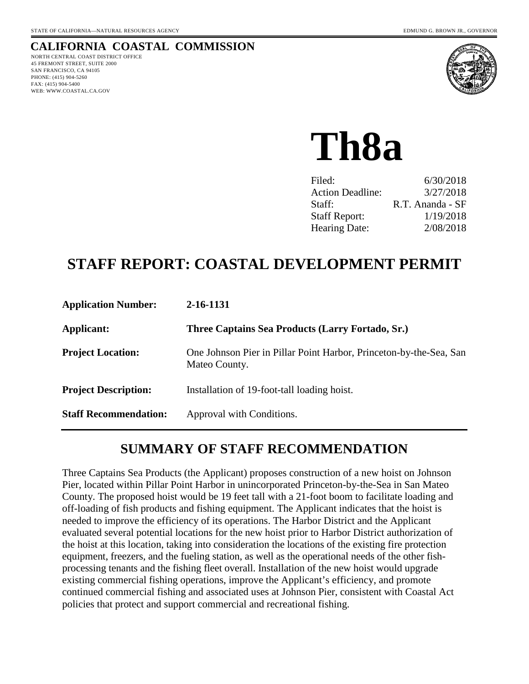## **CALIFORNIA COASTAL COMMISSION**

NORTH CENTRAL COAST DISTRICT OFFICE 45 FREMONT STREET, SUITE 2000 SAN FRANCISCO, CA 94105 PHONE: (415) 904-5260 FAX: (415) 904-5400 WEB: WWW.COASTAL.CA.GOV



**Th8a**

| Filed:                  | 6/30/2018        |
|-------------------------|------------------|
| <b>Action Deadline:</b> | 3/27/2018        |
| Staff:                  | R.T. Ananda - SF |
| <b>Staff Report:</b>    | 1/19/2018        |
| <b>Hearing Date:</b>    | 2/08/2018        |

# **STAFF REPORT: COASTAL DEVELOPMENT PERMIT**

| <b>Application Number:</b>   | 2-16-1131                                                                           |
|------------------------------|-------------------------------------------------------------------------------------|
| <b>Applicant:</b>            | Three Captains Sea Products (Larry Fortado, Sr.)                                    |
| <b>Project Location:</b>     | One Johnson Pier in Pillar Point Harbor, Princeton-by-the-Sea, San<br>Mateo County. |
| <b>Project Description:</b>  | Installation of 19-foot-tall loading hoist.                                         |
| <b>Staff Recommendation:</b> | Approval with Conditions.                                                           |

# **SUMMARY OF STAFF RECOMMENDATION**

Three Captains Sea Products (the Applicant) proposes construction of a new hoist on Johnson Pier, located within Pillar Point Harbor in unincorporated Princeton-by-the-Sea in San Mateo County. The proposed hoist would be 19 feet tall with a 21-foot boom to facilitate loading and off-loading of fish products and fishing equipment. The Applicant indicates that the hoist is needed to improve the efficiency of its operations. The Harbor District and the Applicant evaluated several potential locations for the new hoist prior to Harbor District authorization of the hoist at this location, taking into consideration the locations of the existing fire protection equipment, freezers, and the fueling station, as well as the operational needs of the other fishprocessing tenants and the fishing fleet overall. Installation of the new hoist would upgrade existing commercial fishing operations, improve the Applicant's efficiency, and promote continued commercial fishing and associated uses at Johnson Pier, consistent with Coastal Act policies that protect and support commercial and recreational fishing.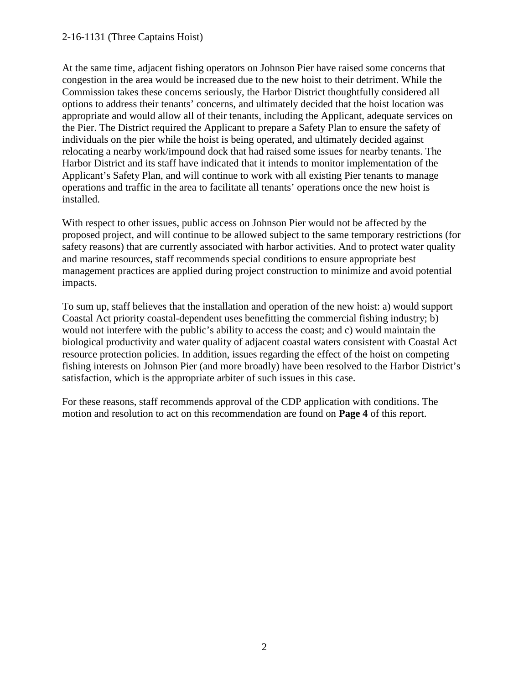#### 2-16-1131 (Three Captains Hoist)

At the same time, adjacent fishing operators on Johnson Pier have raised some concerns that congestion in the area would be increased due to the new hoist to their detriment. While the Commission takes these concerns seriously, the Harbor District thoughtfully considered all options to address their tenants' concerns, and ultimately decided that the hoist location was appropriate and would allow all of their tenants, including the Applicant, adequate services on the Pier. The District required the Applicant to prepare a Safety Plan to ensure the safety of individuals on the pier while the hoist is being operated, and ultimately decided against relocating a nearby work/impound dock that had raised some issues for nearby tenants. The Harbor District and its staff have indicated that it intends to monitor implementation of the Applicant's Safety Plan, and will continue to work with all existing Pier tenants to manage operations and traffic in the area to facilitate all tenants' operations once the new hoist is installed.

With respect to other issues, public access on Johnson Pier would not be affected by the proposed project, and will continue to be allowed subject to the same temporary restrictions (for safety reasons) that are currently associated with harbor activities. And to protect water quality and marine resources, staff recommends special conditions to ensure appropriate best management practices are applied during project construction to minimize and avoid potential impacts.

To sum up, staff believes that the installation and operation of the new hoist: a) would support Coastal Act priority coastal-dependent uses benefitting the commercial fishing industry; b) would not interfere with the public's ability to access the coast; and c) would maintain the biological productivity and water quality of adjacent coastal waters consistent with Coastal Act resource protection policies. In addition, issues regarding the effect of the hoist on competing fishing interests on Johnson Pier (and more broadly) have been resolved to the Harbor District's satisfaction, which is the appropriate arbiter of such issues in this case.

For these reasons, staff recommends approval of the CDP application with conditions. The motion and resolution to act on this recommendation are found on **Page 4** of this report.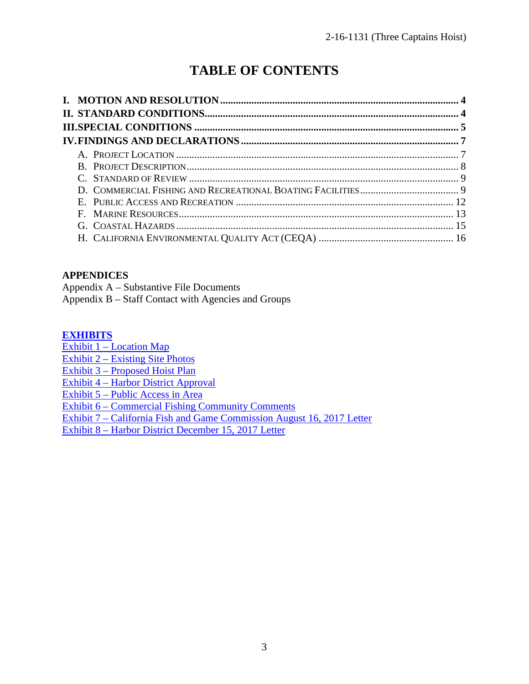# **TABLE OF CONTENTS**

### **APPENDICES**

Appendix A – Substantive File Documents

Appendix B – Staff Contact with Agencies and Groups

#### **[EXHIBITS](https://documents.coastal.ca.gov/reports/2018/2/th8a/th8a-2-2018-exhibits.pdf)**

Exhibit 1 – Location Map

[Exhibit 2 – Existing Site Photos](https://documents.coastal.ca.gov/reports/2018/2/th8a/th8a-2-2018-exhibits.pdf) 

[Exhibit 3 – Proposed Hoist Plan](https://documents.coastal.ca.gov/reports/2018/2/th8a/th8a-2-2018-exhibits.pdf) 

[Exhibit 4 – Harbor District Approval](https://documents.coastal.ca.gov/reports/2018/2/th8a/th8a-2-2018-exhibits.pdf) 

[Exhibit 5 – Public Access in Area](https://documents.coastal.ca.gov/reports/2018/2/th8a/th8a-2-2018-exhibits.pdf) 

[Exhibit 6 – Commercial Fishing Community Comments](https://documents.coastal.ca.gov/reports/2018/2/th8a/th8a-2-2018-exhibits.pdf)

[Exhibit 7 – California Fish and Game Commission August 16, 2017 Letter](https://documents.coastal.ca.gov/reports/2018/2/th8a/th8a-2-2018-exhibits.pdf)

[Exhibit 8 – Harbor District December 15, 2017 Letter](https://documents.coastal.ca.gov/reports/2018/2/th8a/th8a-2-2018-exhibits.pdf)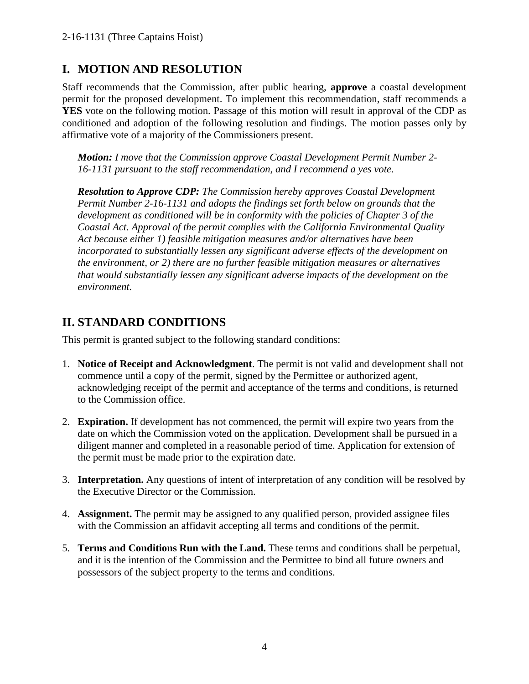# **I. MOTION AND RESOLUTION**

Staff recommends that the Commission, after public hearing, **approve** a coastal development permit for the proposed development. To implement this recommendation, staff recommends a **YES** vote on the following motion. Passage of this motion will result in approval of the CDP as conditioned and adoption of the following resolution and findings. The motion passes only by affirmative vote of a majority of the Commissioners present.

*Motion: I move that the Commission approve Coastal Development Permit Number 2- 16-1131 pursuant to the staff recommendation, and I recommend a yes vote.* 

*Resolution to Approve CDP: The Commission hereby approves Coastal Development Permit Number 2-16-1131 and adopts the findings set forth below on grounds that the development as conditioned will be in conformity with the policies of Chapter 3 of the Coastal Act. Approval of the permit complies with the California Environmental Quality Act because either 1) feasible mitigation measures and/or alternatives have been incorporated to substantially lessen any significant adverse effects of the development on the environment, or 2) there are no further feasible mitigation measures or alternatives that would substantially lessen any significant adverse impacts of the development on the environment.*

# **II. STANDARD CONDITIONS**

This permit is granted subject to the following standard conditions:

- 1. **Notice of Receipt and Acknowledgment**. The permit is not valid and development shall not commence until a copy of the permit, signed by the Permittee or authorized agent, acknowledging receipt of the permit and acceptance of the terms and conditions, is returned to the Commission office.
- 2. **Expiration.** If development has not commenced, the permit will expire two years from the date on which the Commission voted on the application. Development shall be pursued in a diligent manner and completed in a reasonable period of time. Application for extension of the permit must be made prior to the expiration date.
- 3. **Interpretation.** Any questions of intent of interpretation of any condition will be resolved by the Executive Director or the Commission.
- 4. **Assignment.** The permit may be assigned to any qualified person, provided assignee files with the Commission an affidavit accepting all terms and conditions of the permit.
- 5. **Terms and Conditions Run with the Land.** These terms and conditions shall be perpetual, and it is the intention of the Commission and the Permittee to bind all future owners and possessors of the subject property to the terms and conditions.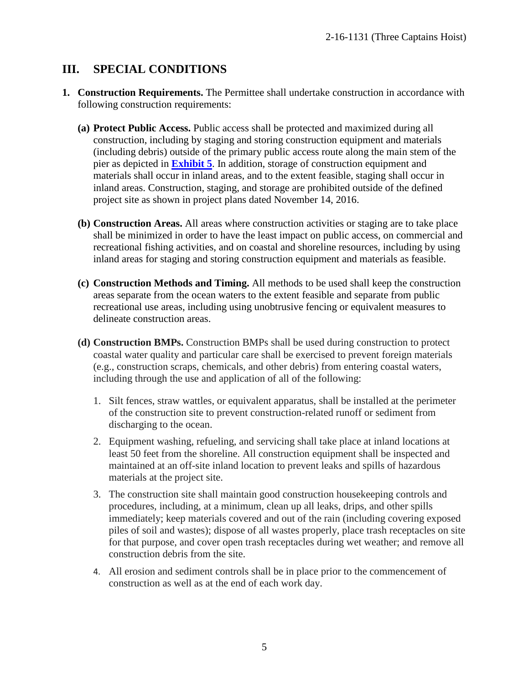## **III. SPECIAL CONDITIONS**

- **1. Construction Requirements.** The Permittee shall undertake construction in accordance with following construction requirements:
	- **(a) Protect Public Access.** Public access shall be protected and maximized during all construction, including by staging and storing construction equipment and materials (including debris) outside of the primary public access route along the main stem of the pier as depicted in **[Exhibit 5](https://documents.coastal.ca.gov/reports/2018/2/th8a/th8a-2-2018-exhibits.pdf)**. In addition, storage of construction equipment and materials shall occur in inland areas, and to the extent feasible, staging shall occur in inland areas. Construction, staging, and storage are prohibited outside of the defined project site as shown in project plans dated November 14, 2016.
	- **(b) Construction Areas.** All areas where construction activities or staging are to take place shall be minimized in order to have the least impact on public access, on commercial and recreational fishing activities, and on coastal and shoreline resources, including by using inland areas for staging and storing construction equipment and materials as feasible.
	- **(c) Construction Methods and Timing.** All methods to be used shall keep the construction areas separate from the ocean waters to the extent feasible and separate from public recreational use areas, including using unobtrusive fencing or equivalent measures to delineate construction areas.
	- **(d) Construction BMPs.** Construction BMPs shall be used during construction to protect coastal water quality and particular care shall be exercised to prevent foreign materials (e.g., construction scraps, chemicals, and other debris) from entering coastal waters, including through the use and application of all of the following:
		- 1. Silt fences, straw wattles, or equivalent apparatus, shall be installed at the perimeter of the construction site to prevent construction-related runoff or sediment from discharging to the ocean.
		- 2. Equipment washing, refueling, and servicing shall take place at inland locations at least 50 feet from the shoreline. All construction equipment shall be inspected and maintained at an off-site inland location to prevent leaks and spills of hazardous materials at the project site.
		- 3. The construction site shall maintain good construction housekeeping controls and procedures, including, at a minimum, clean up all leaks, drips, and other spills immediately; keep materials covered and out of the rain (including covering exposed piles of soil and wastes); dispose of all wastes properly, place trash receptacles on site for that purpose, and cover open trash receptacles during wet weather; and remove all construction debris from the site.
		- 4. All erosion and sediment controls shall be in place prior to the commencement of construction as well as at the end of each work day.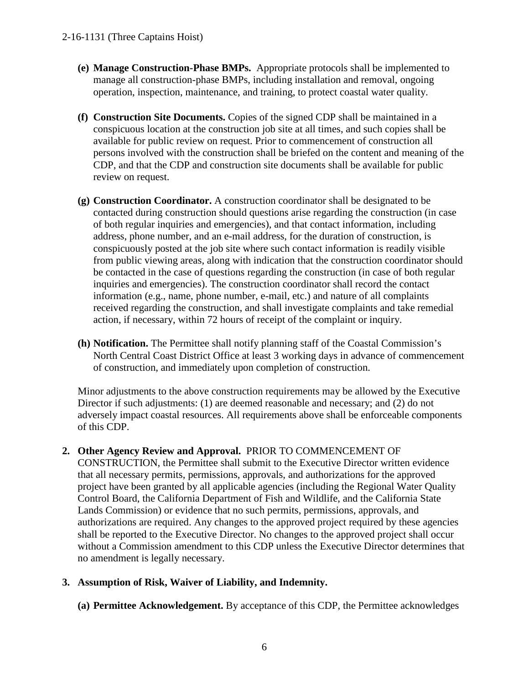- **(e) Manage Construction-Phase BMPs.** Appropriate protocols shall be implemented to manage all construction-phase BMPs, including installation and removal, ongoing operation, inspection, maintenance, and training, to protect coastal water quality.
- **(f) Construction Site Documents.** Copies of the signed CDP shall be maintained in a conspicuous location at the construction job site at all times, and such copies shall be available for public review on request. Prior to commencement of construction all persons involved with the construction shall be briefed on the content and meaning of the CDP, and that the CDP and construction site documents shall be available for public review on request.
- **(g) Construction Coordinator.** A construction coordinator shall be designated to be contacted during construction should questions arise regarding the construction (in case of both regular inquiries and emergencies), and that contact information, including address, phone number, and an e-mail address, for the duration of construction, is conspicuously posted at the job site where such contact information is readily visible from public viewing areas, along with indication that the construction coordinator should be contacted in the case of questions regarding the construction (in case of both regular inquiries and emergencies). The construction coordinator shall record the contact information (e.g., name, phone number, e-mail, etc.) and nature of all complaints received regarding the construction, and shall investigate complaints and take remedial action, if necessary, within 72 hours of receipt of the complaint or inquiry.
- **(h) Notification.** The Permittee shall notify planning staff of the Coastal Commission's North Central Coast District Office at least 3 working days in advance of commencement of construction, and immediately upon completion of construction.

Minor adjustments to the above construction requirements may be allowed by the Executive Director if such adjustments: (1) are deemed reasonable and necessary; and (2) do not adversely impact coastal resources. All requirements above shall be enforceable components of this CDP.

**2. Other Agency Review and Approval.** PRIOR TO COMMENCEMENT OF CONSTRUCTION, the Permittee shall submit to the Executive Director written evidence that all necessary permits, permissions, approvals, and authorizations for the approved project have been granted by all applicable agencies (including the Regional Water Quality Control Board, the California Department of Fish and Wildlife, and the California State Lands Commission) or evidence that no such permits, permissions, approvals, and authorizations are required. Any changes to the approved project required by these agencies shall be reported to the Executive Director. No changes to the approved project shall occur without a Commission amendment to this CDP unless the Executive Director determines that no amendment is legally necessary.

### **3. Assumption of Risk, Waiver of Liability, and Indemnity.**

**(a) Permittee Acknowledgement.** By acceptance of this CDP, the Permittee acknowledges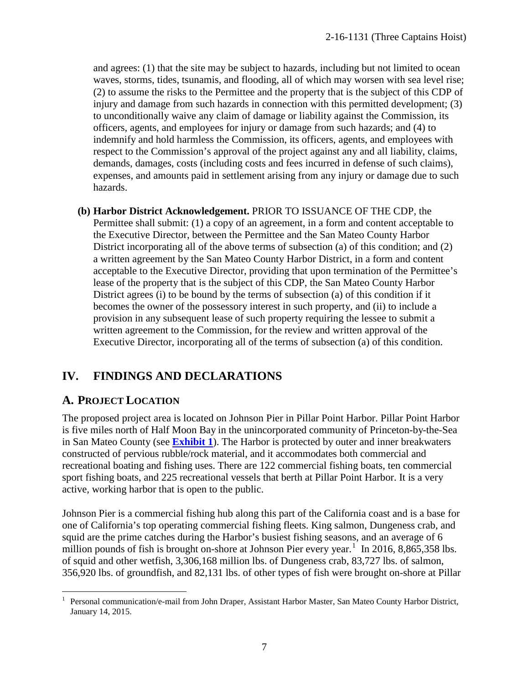and agrees: (1) that the site may be subject to hazards, including but not limited to ocean waves, storms, tides, tsunamis, and flooding, all of which may worsen with sea level rise; (2) to assume the risks to the Permittee and the property that is the subject of this CDP of injury and damage from such hazards in connection with this permitted development; (3) to unconditionally waive any claim of damage or liability against the Commission, its officers, agents, and employees for injury or damage from such hazards; and (4) to indemnify and hold harmless the Commission, its officers, agents, and employees with respect to the Commission's approval of the project against any and all liability, claims, demands, damages, costs (including costs and fees incurred in defense of such claims), expenses, and amounts paid in settlement arising from any injury or damage due to such hazards.

**(b) Harbor District Acknowledgement.** PRIOR TO ISSUANCE OF THE CDP, the Permittee shall submit: (1) a copy of an agreement, in a form and content acceptable to the Executive Director, between the Permittee and the San Mateo County Harbor District incorporating all of the above terms of subsection (a) of this condition; and (2) a written agreement by the San Mateo County Harbor District, in a form and content acceptable to the Executive Director, providing that upon termination of the Permittee's lease of the property that is the subject of this CDP, the San Mateo County Harbor District agrees (i) to be bound by the terms of subsection (a) of this condition if it becomes the owner of the possessory interest in such property, and (ii) to include a provision in any subsequent lease of such property requiring the lessee to submit a written agreement to the Commission, for the review and written approval of the Executive Director, incorporating all of the terms of subsection (a) of this condition.

## **IV. FINDINGS AND DECLARATIONS**

## **A. PROJECT LOCATION**

The proposed project area is located on Johnson Pier in Pillar Point Harbor. Pillar Point Harbor is five miles north of Half Moon Bay in the unincorporated community of Princeton-by-the-Sea in San Mateo County (see **[Exhibit 1](https://documents.coastal.ca.gov/reports/2018/2/th8a/th8a-2-2018-exhibits.pdf)**). The Harbor is protected by outer and inner breakwaters constructed of pervious rubble/rock material, and it accommodates both commercial and recreational boating and fishing uses. There are 122 commercial fishing boats, ten commercial sport fishing boats, and 225 recreational vessels that berth at Pillar Point Harbor. It is a very active, working harbor that is open to the public.

Johnson Pier is a commercial fishing hub along this part of the California coast and is a base for one of California's top operating commercial fishing fleets. King salmon, Dungeness crab, and squid are the prime catches during the Harbor's busiest fishing seasons, and an average of 6 million pounds of fish is brought on-shore at Johnson Pier every year.<sup>[1](#page-6-0)</sup> In 2016, 8,865,358 lbs. of squid and other wetfish, 3,306,168 million lbs. of Dungeness crab, 83,727 lbs. of salmon, 356,920 lbs. of groundfish, and 82,131 lbs. of other types of fish were brought on-shore at Pillar

<span id="page-6-0"></span> $\overline{a}$ <sup>1</sup> Personal communication/e-mail from John Draper, Assistant Harbor Master, San Mateo County Harbor District, January 14, 2015.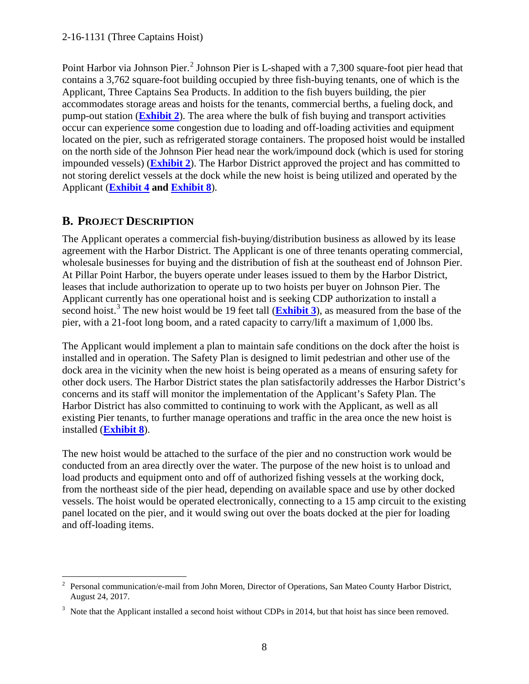Point Harbor via Johnson Pier.<sup>[2](#page-7-0)</sup> Johnson Pier is L-shaped with a 7,300 square-foot pier head that contains a 3,762 square-foot building occupied by three fish-buying tenants, one of which is the Applicant, Three Captains Sea Products. In addition to the fish buyers building, the pier accommodates storage areas and hoists for the tenants, commercial berths, a fueling dock, and pump-out station (**[Exhibit 2](https://documents.coastal.ca.gov/reports/2018/2/th8a/th8a-2-2018-exhibits.pdf)**). The area where the bulk of fish buying and transport activities occur can experience some congestion due to loading and off-loading activities and equipment located on the pier, such as refrigerated storage containers. The proposed hoist would be installed on the north side of the Johnson Pier head near the work/impound dock (which is used for storing impounded vessels) (**[Exhibit 2](https://documents.coastal.ca.gov/reports/2018/2/th8a/th8a-2-2018-exhibits.pdf)**). The Harbor District approved the project and has committed to not storing derelict vessels at the dock while the new hoist is being utilized and operated by the Applicant (**[Exhibit 4](https://documents.coastal.ca.gov/reports/2018/2/th8a/th8a-2-2018-exhibits.pdf) and [Exhibit 8](https://documents.coastal.ca.gov/reports/2018/2/th8a/th8a-2-2018-exhibits.pdf)**).

## **B. PROJECT DESCRIPTION**

The Applicant operates a commercial fish-buying/distribution business as allowed by its lease agreement with the Harbor District. The Applicant is one of three tenants operating commercial, wholesale businesses for buying and the distribution of fish at the southeast end of Johnson Pier. At Pillar Point Harbor, the buyers operate under leases issued to them by the Harbor District, leases that include authorization to operate up to two hoists per buyer on Johnson Pier. The Applicant currently has one operational hoist and is seeking CDP authorization to install a second hoist.<sup>[3](#page-7-1)</sup> The new hoist would be 19 feet tall (**[Exhibit 3](https://documents.coastal.ca.gov/reports/2018/2/th8a/th8a-2-2018-exhibits.pdf)**), as measured from the base of the pier, with a 21-foot long boom, and a rated capacity to carry/lift a maximum of 1,000 lbs.

The Applicant would implement a plan to maintain safe conditions on the dock after the hoist is installed and in operation. The Safety Plan is designed to limit pedestrian and other use of the dock area in the vicinity when the new hoist is being operated as a means of ensuring safety for other dock users. The Harbor District states the plan satisfactorily addresses the Harbor District's concerns and its staff will monitor the implementation of the Applicant's Safety Plan. The Harbor District has also committed to continuing to work with the Applicant, as well as all existing Pier tenants, to further manage operations and traffic in the area once the new hoist is installed (**[Exhibit 8](https://documents.coastal.ca.gov/reports/2018/2/th8a/th8a-2-2018-exhibits.pdf)**).

The new hoist would be attached to the surface of the pier and no construction work would be conducted from an area directly over the water. The purpose of the new hoist is to unload and load products and equipment onto and off of authorized fishing vessels at the working dock, from the northeast side of the pier head, depending on available space and use by other docked vessels. The hoist would be operated electronically, connecting to a 15 amp circuit to the existing panel located on the pier, and it would swing out over the boats docked at the pier for loading and off-loading items.

<span id="page-7-0"></span><sup>&</sup>lt;sup>2</sup> Personal communication/e-mail from John Moren, Director of Operations, San Mateo County Harbor District, August 24, 2017.

<span id="page-7-1"></span> $3$  Note that the Applicant installed a second hoist without CDPs in 2014, but that hoist has since been removed.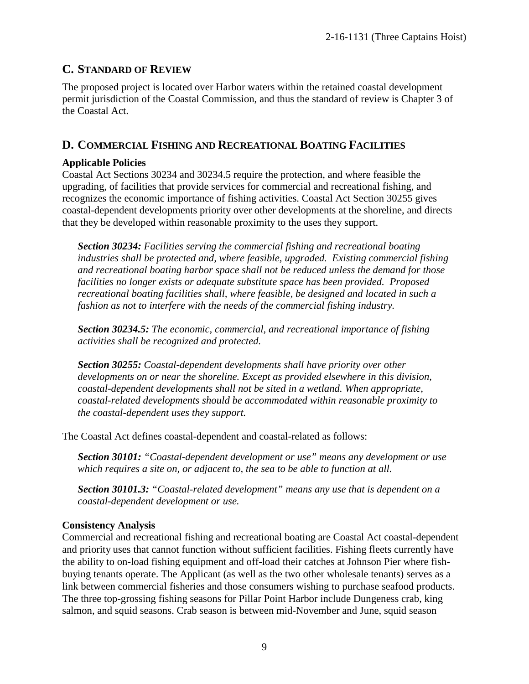## **C. STANDARD OF REVIEW**

The proposed project is located over Harbor waters within the retained coastal development permit jurisdiction of the Coastal Commission, and thus the standard of review is Chapter 3 of the Coastal Act.

## **D. COMMERCIAL FISHING AND RECREATIONAL BOATING FACILITIES**

#### **Applicable Policies**

Coastal Act Sections 30234 and 30234.5 require the protection, and where feasible the upgrading, of facilities that provide services for commercial and recreational fishing, and recognizes the economic importance of fishing activities. Coastal Act Section 30255 gives coastal-dependent developments priority over other developments at the shoreline, and directs that they be developed within reasonable proximity to the uses they support.

*Section 30234: Facilities serving the commercial fishing and recreational boating industries shall be protected and, where feasible, upgraded. Existing commercial fishing and recreational boating harbor space shall not be reduced unless the demand for those facilities no longer exists or adequate substitute space has been provided. Proposed recreational boating facilities shall, where feasible, be designed and located in such a fashion as not to interfere with the needs of the commercial fishing industry.* 

*Section 30234.5: The economic, commercial, and recreational importance of fishing activities shall be recognized and protected.*

*Section 30255: Coastal-dependent developments shall have priority over other developments on or near the shoreline. Except as provided elsewhere in this division, coastal-dependent developments shall not be sited in a wetland. When appropriate, coastal-related developments should be accommodated within reasonable proximity to the coastal-dependent uses they support.* 

The Coastal Act defines coastal-dependent and coastal-related as follows:

*Section 30101: "Coastal-dependent development or use" means any development or use which requires a site on, or adjacent to, the sea to be able to function at all.* 

*Section 30101.3: "Coastal-related development" means any use that is dependent on a coastal-dependent development or use.* 

### **Consistency Analysis**

Commercial and recreational fishing and recreational boating are Coastal Act coastal-dependent and priority uses that cannot function without sufficient facilities. Fishing fleets currently have the ability to on-load fishing equipment and off-load their catches at Johnson Pier where fishbuying tenants operate. The Applicant (as well as the two other wholesale tenants) serves as a link between commercial fisheries and those consumers wishing to purchase seafood products. The three top-grossing fishing seasons for Pillar Point Harbor include Dungeness crab, king salmon, and squid seasons. Crab season is between mid-November and June, squid season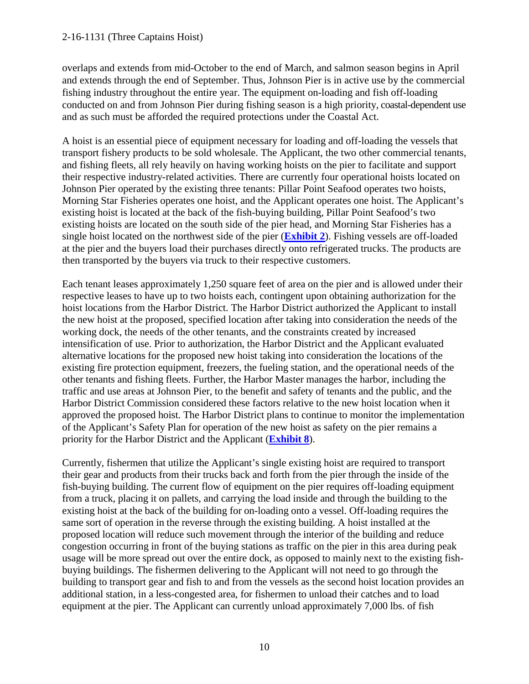#### 2-16-1131 (Three Captains Hoist)

overlaps and extends from mid-October to the end of March, and salmon season begins in April and extends through the end of September. Thus, Johnson Pier is in active use by the commercial fishing industry throughout the entire year. The equipment on-loading and fish off-loading conducted on and from Johnson Pier during fishing season is a high priority, coastal-dependent use and as such must be afforded the required protections under the Coastal Act.

A hoist is an essential piece of equipment necessary for loading and off-loading the vessels that transport fishery products to be sold wholesale. The Applicant, the two other commercial tenants, and fishing fleets, all rely heavily on having working hoists on the pier to facilitate and support their respective industry-related activities. There are currently four operational hoists located on Johnson Pier operated by the existing three tenants: Pillar Point Seafood operates two hoists, Morning Star Fisheries operates one hoist, and the Applicant operates one hoist. The Applicant's existing hoist is located at the back of the fish-buying building, Pillar Point Seafood's two existing hoists are located on the south side of the pier head, and Morning Star Fisheries has a single hoist located on the northwest side of the pier (**[Exhibit 2](https://documents.coastal.ca.gov/reports/2018/2/th8a/th8a-2-2018-exhibits.pdf)**). Fishing vessels are off-loaded at the pier and the buyers load their purchases directly onto refrigerated trucks. The products are then transported by the buyers via truck to their respective customers.

Each tenant leases approximately 1,250 square feet of area on the pier and is allowed under their respective leases to have up to two hoists each, contingent upon obtaining authorization for the hoist locations from the Harbor District. The Harbor District authorized the Applicant to install the new hoist at the proposed, specified location after taking into consideration the needs of the working dock, the needs of the other tenants, and the constraints created by increased intensification of use. Prior to authorization, the Harbor District and the Applicant evaluated alternative locations for the proposed new hoist taking into consideration the locations of the existing fire protection equipment, freezers, the fueling station, and the operational needs of the other tenants and fishing fleets. Further, the Harbor Master manages the harbor, including the traffic and use areas at Johnson Pier, to the benefit and safety of tenants and the public, and the Harbor District Commission considered these factors relative to the new hoist location when it approved the proposed hoist. The Harbor District plans to continue to monitor the implementation of the Applicant's Safety Plan for operation of the new hoist as safety on the pier remains a priority for the Harbor District and the Applicant (**[Exhibit 8](https://documents.coastal.ca.gov/reports/2018/2/th8a/th8a-2-2018-exhibits.pdf)**).

Currently, fishermen that utilize the Applicant's single existing hoist are required to transport their gear and products from their trucks back and forth from the pier through the inside of the fish-buying building. The current flow of equipment on the pier requires off-loading equipment from a truck, placing it on pallets, and carrying the load inside and through the building to the existing hoist at the back of the building for on-loading onto a vessel. Off-loading requires the same sort of operation in the reverse through the existing building. A hoist installed at the proposed location will reduce such movement through the interior of the building and reduce congestion occurring in front of the buying stations as traffic on the pier in this area during peak usage will be more spread out over the entire dock, as opposed to mainly next to the existing fishbuying buildings. The fishermen delivering to the Applicant will not need to go through the building to transport gear and fish to and from the vessels as the second hoist location provides an additional station, in a less-congested area, for fishermen to unload their catches and to load equipment at the pier. The Applicant can currently unload approximately 7,000 lbs. of fish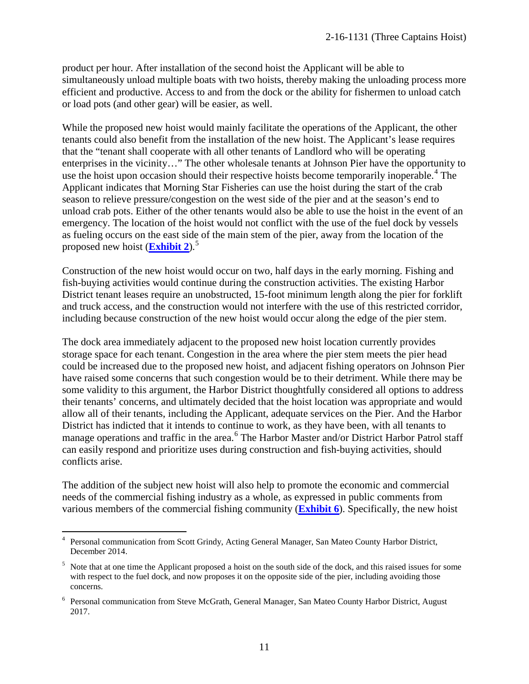product per hour. After installation of the second hoist the Applicant will be able to simultaneously unload multiple boats with two hoists, thereby making the unloading process more efficient and productive. Access to and from the dock or the ability for fishermen to unload catch or load pots (and other gear) will be easier, as well.

While the proposed new hoist would mainly facilitate the operations of the Applicant, the other tenants could also benefit from the installation of the new hoist. The Applicant's lease requires that the "tenant shall cooperate with all other tenants of Landlord who will be operating enterprises in the vicinity…" The other wholesale tenants at Johnson Pier have the opportunity to use the hoist upon occasion should their respective hoists become temporarily inoperable.<sup>[4](#page-10-0)</sup> The Applicant indicates that Morning Star Fisheries can use the hoist during the start of the crab season to relieve pressure/congestion on the west side of the pier and at the season's end to unload crab pots. Either of the other tenants would also be able to use the hoist in the event of an emergency. The location of the hoist would not conflict with the use of the fuel dock by vessels as fueling occurs on the east side of the main stem of the pier, away from the location of the proposed new hoist (**[Exhibit 2](https://documents.coastal.ca.gov/reports/2018/2/th8a/th8a-2-2018-exhibits.pdf)**).[5](#page-10-1)

Construction of the new hoist would occur on two, half days in the early morning. Fishing and fish-buying activities would continue during the construction activities. The existing Harbor District tenant leases require an unobstructed, 15-foot minimum length along the pier for forklift and truck access, and the construction would not interfere with the use of this restricted corridor, including because construction of the new hoist would occur along the edge of the pier stem.

The dock area immediately adjacent to the proposed new hoist location currently provides storage space for each tenant. Congestion in the area where the pier stem meets the pier head could be increased due to the proposed new hoist, and adjacent fishing operators on Johnson Pier have raised some concerns that such congestion would be to their detriment. While there may be some validity to this argument, the Harbor District thoughtfully considered all options to address their tenants' concerns, and ultimately decided that the hoist location was appropriate and would allow all of their tenants, including the Applicant, adequate services on the Pier. And the Harbor District has indicted that it intends to continue to work, as they have been, with all tenants to manage operations and traffic in the area.<sup>[6](#page-10-2)</sup> The Harbor Master and/or District Harbor Patrol staff can easily respond and prioritize uses during construction and fish-buying activities, should conflicts arise.

The addition of the subject new hoist will also help to promote the economic and commercial needs of the commercial fishing industry as a whole, as expressed in public comments from various members of the commercial fishing community (**[Exhibit 6](https://documents.coastal.ca.gov/reports/2018/2/th8a/th8a-2-2018-exhibits.pdf)**). Specifically, the new hoist

 $\overline{a}$ 

<span id="page-10-0"></span><sup>&</sup>lt;sup>4</sup> Personal communication from Scott Grindy, Acting General Manager, San Mateo County Harbor District, December 2014.

<span id="page-10-1"></span><sup>&</sup>lt;sup>5</sup> Note that at one time the Applicant proposed a hoist on the south side of the dock, and this raised issues for some with respect to the fuel dock, and now proposes it on the opposite side of the pier, including avoiding those concerns.

<span id="page-10-2"></span><sup>6</sup> Personal communication from Steve McGrath, General Manager, San Mateo County Harbor District, August 2017.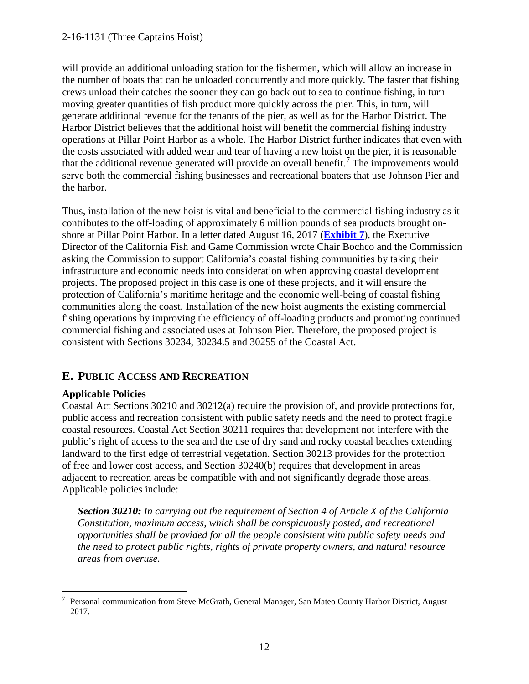will provide an additional unloading station for the fishermen, which will allow an increase in the number of boats that can be unloaded concurrently and more quickly. The faster that fishing crews unload their catches the sooner they can go back out to sea to continue fishing, in turn moving greater quantities of fish product more quickly across the pier. This, in turn, will generate additional revenue for the tenants of the pier, as well as for the Harbor District. The Harbor District believes that the additional hoist will benefit the commercial fishing industry operations at Pillar Point Harbor as a whole. The Harbor District further indicates that even with the costs associated with added wear and tear of having a new hoist on the pier, it is reasonable that the additional revenue generated will provide an overall benefit.<sup>[7](#page-11-0)</sup> The improvements would serve both the commercial fishing businesses and recreational boaters that use Johnson Pier and the harbor.

Thus, installation of the new hoist is vital and beneficial to the commercial fishing industry as it contributes to the off-loading of approximately 6 million pounds of sea products brought onshore at Pillar Point Harbor. In a letter dated August 16, 2017 (**[Exhibit 7](https://documents.coastal.ca.gov/reports/2018/2/th8a/th8a-2-2018-exhibits.pdf)**), the Executive Director of the California Fish and Game Commission wrote Chair Bochco and the Commission asking the Commission to support California's coastal fishing communities by taking their infrastructure and economic needs into consideration when approving coastal development projects. The proposed project in this case is one of these projects, and it will ensure the protection of California's maritime heritage and the economic well-being of coastal fishing communities along the coast. Installation of the new hoist augments the existing commercial fishing operations by improving the efficiency of off-loading products and promoting continued commercial fishing and associated uses at Johnson Pier. Therefore, the proposed project is consistent with Sections 30234, 30234.5 and 30255 of the Coastal Act.

## **E. PUBLIC ACCESS AND RECREATION**

## **Applicable Policies**

Coastal Act Sections 30210 and 30212(a) require the provision of, and provide protections for, public access and recreation consistent with public safety needs and the need to protect fragile coastal resources. Coastal Act Section 30211 requires that development not interfere with the public's right of access to the sea and the use of dry sand and rocky coastal beaches extending landward to the first edge of terrestrial vegetation. Section 30213 provides for the protection of free and lower cost access, and Section 30240(b) requires that development in areas adjacent to recreation areas be compatible with and not significantly degrade those areas. Applicable policies include:

*Section 30210: In carrying out the requirement of Section 4 of Article X of the California Constitution, maximum access, which shall be conspicuously posted, and recreational opportunities shall be provided for all the people consistent with public safety needs and the need to protect public rights, rights of private property owners, and natural resource areas from overuse.*

<span id="page-11-0"></span> $\overline{a}$ 7 Personal communication from Steve McGrath, General Manager, San Mateo County Harbor District, August 2017.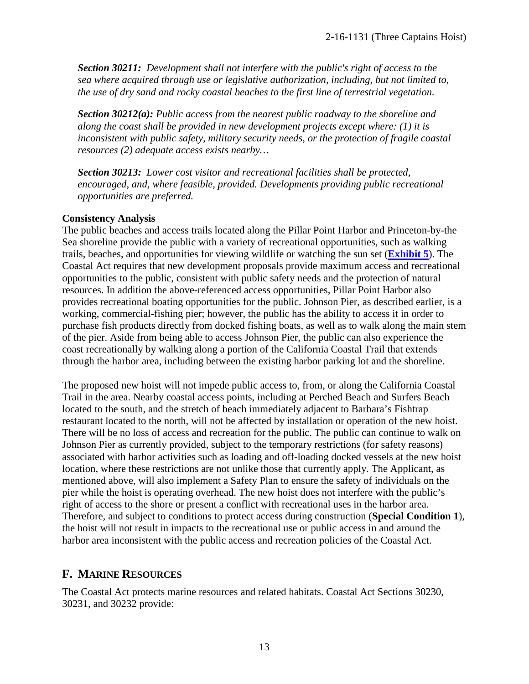*Section 30211: Development shall not interfere with the public's right of access to the sea where acquired through use or legislative authorization, including, but not limited to, the use of dry sand and rocky coastal beaches to the first line of terrestrial vegetation.* 

*Section 30212(a): Public access from the nearest public roadway to the shoreline and along the coast shall be provided in new development projects except where: (1) it is inconsistent with public safety, military security needs, or the protection of fragile coastal resources (2) adequate access exists nearby…* 

*Section 30213: Lower cost visitor and recreational facilities shall be protected, encouraged, and, where feasible, provided. Developments providing public recreational opportunities are preferred.*

#### **Consistency Analysis**

The public beaches and access trails located along the Pillar Point Harbor and Princeton-by-the Sea shoreline provide the public with a variety of recreational opportunities, such as walking trails, beaches, and opportunities for viewing wildlife or watching the sun set (**[Exhibit 5](https://documents.coastal.ca.gov/reports/2018/2/th8a/th8a-2-2018-exhibits.pdf)**). The Coastal Act requires that new development proposals provide maximum access and recreational opportunities to the public, consistent with public safety needs and the protection of natural resources. In addition the above-referenced access opportunities, Pillar Point Harbor also provides recreational boating opportunities for the public. Johnson Pier, as described earlier, is a working, commercial-fishing pier; however, the public has the ability to access it in order to purchase fish products directly from docked fishing boats, as well as to walk along the main stem of the pier. Aside from being able to access Johnson Pier, the public can also experience the coast recreationally by walking along a portion of the California Coastal Trail that extends through the harbor area, including between the existing harbor parking lot and the shoreline.

The proposed new hoist will not impede public access to, from, or along the California Coastal Trail in the area. Nearby coastal access points, including at Perched Beach and Surfers Beach located to the south, and the stretch of beach immediately adjacent to Barbara's Fishtrap restaurant located to the north, will not be affected by installation or operation of the new hoist. There will be no loss of access and recreation for the public. The public can continue to walk on Johnson Pier as currently provided, subject to the temporary restrictions (for safety reasons) associated with harbor activities such as loading and off-loading docked vessels at the new hoist location, where these restrictions are not unlike those that currently apply. The Applicant, as mentioned above, will also implement a Safety Plan to ensure the safety of individuals on the pier while the hoist is operating overhead. The new hoist does not interfere with the public's right of access to the shore or present a conflict with recreational uses in the harbor area. Therefore, and subject to conditions to protect access during construction (**Special Condition 1**), the hoist will not result in impacts to the recreational use or public access in and around the harbor area inconsistent with the public access and recreation policies of the Coastal Act.

#### **F. MARINE RESOURCES**

The Coastal Act protects marine resources and related habitats. Coastal Act Sections 30230, 30231, and 30232 provide: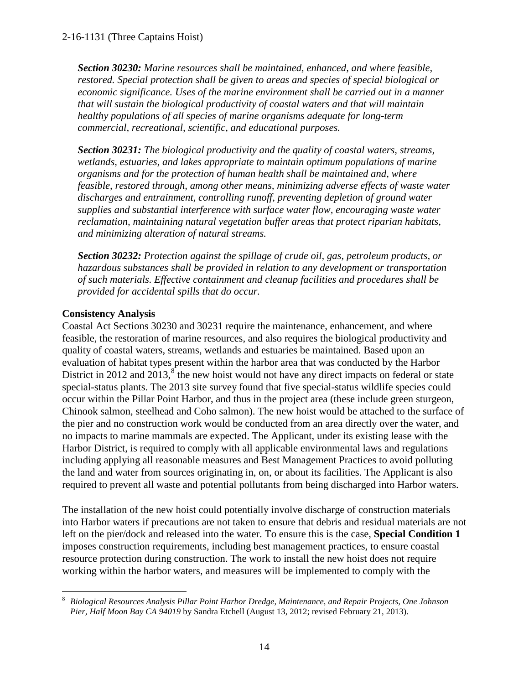*Section 30230: Marine resources shall be maintained, enhanced, and where feasible, restored. Special protection shall be given to areas and species of special biological or economic significance. Uses of the marine environment shall be carried out in a manner that will sustain the biological productivity of coastal waters and that will maintain healthy populations of all species of marine organisms adequate for long-term commercial, recreational, scientific, and educational purposes.* 

*Section 30231: The biological productivity and the quality of coastal waters, streams, wetlands, estuaries, and lakes appropriate to maintain optimum populations of marine organisms and for the protection of human health shall be maintained and, where feasible, restored through, among other means, minimizing adverse effects of waste water discharges and entrainment, controlling runoff, preventing depletion of ground water supplies and substantial interference with surface water flow, encouraging waste water reclamation, maintaining natural vegetation buffer areas that protect riparian habitats, and minimizing alteration of natural streams.* 

*Section 30232: Protection against the spillage of crude oil, gas, petroleum products, or hazardous substances shall be provided in relation to any development or transportation of such materials. Effective containment and cleanup facilities and procedures shall be provided for accidental spills that do occur.*

#### **Consistency Analysis**

Coastal Act Sections 30230 and 30231 require the maintenance, enhancement, and where feasible, the restoration of marine resources, and also requires the biological productivity and quality of coastal waters, streams, wetlands and estuaries be maintained. Based upon an evaluation of habitat types present within the harbor area that was conducted by the Harbor District in 2012 and 2013, ${}^{8}$  ${}^{8}$  ${}^{8}$  the new hoist would not have any direct impacts on federal or state special-status plants. The 2013 site survey found that five special-status wildlife species could occur within the Pillar Point Harbor, and thus in the project area (these include green sturgeon, Chinook salmon, steelhead and Coho salmon). The new hoist would be attached to the surface of the pier and no construction work would be conducted from an area directly over the water, and no impacts to marine mammals are expected. The Applicant, under its existing lease with the Harbor District, is required to comply with all applicable environmental laws and regulations including applying all reasonable measures and Best Management Practices to avoid polluting the land and water from sources originating in, on, or about its facilities. The Applicant is also required to prevent all waste and potential pollutants from being discharged into Harbor waters.

The installation of the new hoist could potentially involve discharge of construction materials into Harbor waters if precautions are not taken to ensure that debris and residual materials are not left on the pier/dock and released into the water. To ensure this is the case, **Special Condition 1**  imposes construction requirements, including best management practices, to ensure coastal resource protection during construction. The work to install the new hoist does not require working within the harbor waters, and measures will be implemented to comply with the

<span id="page-13-0"></span> $\overline{a}$ 8 *Biological Resources Analysis Pillar Point Harbor Dredge, Maintenance, and Repair Projects, One Johnson Pier, Half Moon Bay CA 94019* by Sandra Etchell (August 13, 2012; revised February 21, 2013).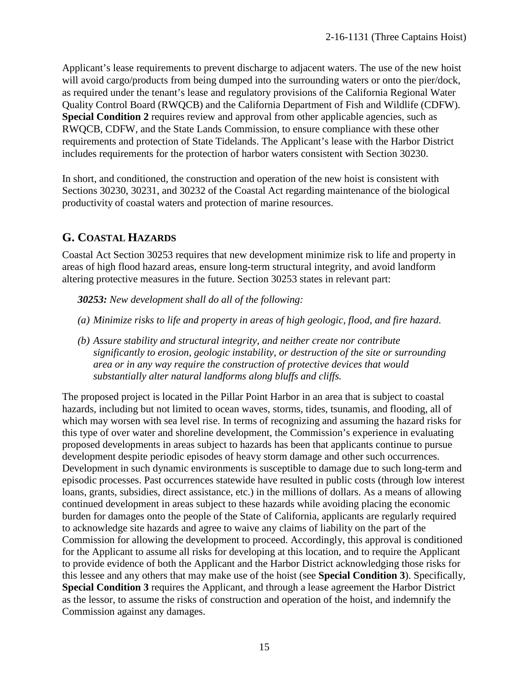Applicant's lease requirements to prevent discharge to adjacent waters. The use of the new hoist will avoid cargo/products from being dumped into the surrounding waters or onto the pier/dock, as required under the tenant's lease and regulatory provisions of the California Regional Water Quality Control Board (RWQCB) and the California Department of Fish and Wildlife (CDFW). **Special Condition 2** requires review and approval from other applicable agencies, such as RWQCB, CDFW, and the State Lands Commission, to ensure compliance with these other requirements and protection of State Tidelands. The Applicant's lease with the Harbor District includes requirements for the protection of harbor waters consistent with Section 30230.

In short, and conditioned, the construction and operation of the new hoist is consistent with Sections 30230, 30231, and 30232 of the Coastal Act regarding maintenance of the biological productivity of coastal waters and protection of marine resources.

# **G. COASTAL HAZARDS**

Coastal Act Section 30253 requires that new development minimize risk to life and property in areas of high flood hazard areas, ensure long-term structural integrity, and avoid landform altering protective measures in the future. Section 30253 states in relevant part:

*30253: New development shall do all of the following:* 

- *(a) Minimize risks to life and property in areas of high geologic, flood, and fire hazard.*
- *(b) Assure stability and structural integrity, and neither create nor contribute significantly to erosion, geologic instability, or destruction of the site or surrounding area or in any way require the construction of protective devices that would substantially alter natural landforms along bluffs and cliffs.*

The proposed project is located in the Pillar Point Harbor in an area that is subject to coastal hazards, including but not limited to ocean waves, storms, tides, tsunamis, and flooding, all of which may worsen with sea level rise. In terms of recognizing and assuming the hazard risks for this type of over water and shoreline development, the Commission's experience in evaluating proposed developments in areas subject to hazards has been that applicants continue to pursue development despite periodic episodes of heavy storm damage and other such occurrences. Development in such dynamic environments is susceptible to damage due to such long-term and episodic processes. Past occurrences statewide have resulted in public costs (through low interest loans, grants, subsidies, direct assistance, etc.) in the millions of dollars. As a means of allowing continued development in areas subject to these hazards while avoiding placing the economic burden for damages onto the people of the State of California, applicants are regularly required to acknowledge site hazards and agree to waive any claims of liability on the part of the Commission for allowing the development to proceed. Accordingly, this approval is conditioned for the Applicant to assume all risks for developing at this location, and to require the Applicant to provide evidence of both the Applicant and the Harbor District acknowledging those risks for this lessee and any others that may make use of the hoist (see **Special Condition 3**). Specifically, **Special Condition 3** requires the Applicant, and through a lease agreement the Harbor District as the lessor, to assume the risks of construction and operation of the hoist, and indemnify the Commission against any damages.